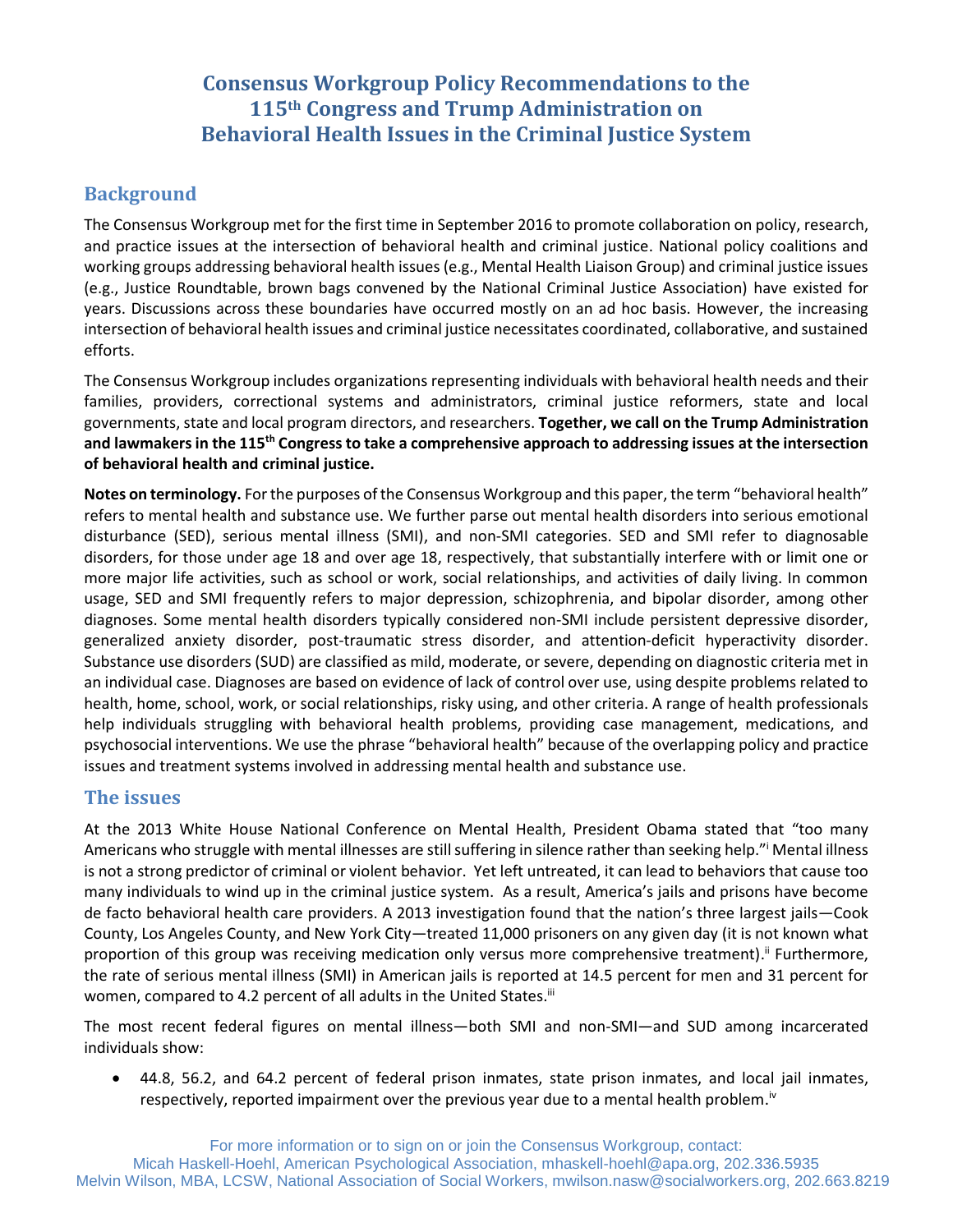# **Consensus Workgroup Policy Recommendations to the 115th Congress and Trump Administration on Behavioral Health Issues in the Criminal Justice System**

# **Background**

The Consensus Workgroup met for the first time in September 2016 to promote collaboration on policy, research, and practice issues at the intersection of behavioral health and criminal justice. National policy coalitions and working groups addressing behavioral health issues (e.g., Mental Health Liaison Group) and criminal justice issues (e.g., Justice Roundtable, brown bags convened by the National Criminal Justice Association) have existed for years. Discussions across these boundaries have occurred mostly on an ad hoc basis. However, the increasing intersection of behavioral health issues and criminal justice necessitates coordinated, collaborative, and sustained efforts.

The Consensus Workgroup includes organizations representing individuals with behavioral health needs and their families, providers, correctional systems and administrators, criminal justice reformers, state and local governments, state and local program directors, and researchers. **Together, we call on the Trump Administration and lawmakers in the 115th Congress to take a comprehensive approach to addressing issues at the intersection of behavioral health and criminal justice.**

**Notes on terminology.** For the purposes of the Consensus Workgroup and this paper, the term "behavioral health" refers to mental health and substance use. We further parse out mental health disorders into serious emotional disturbance (SED), serious mental illness (SMI), and non-SMI categories. SED and SMI refer to diagnosable disorders, for those under age 18 and over age 18, respectively, that substantially interfere with or limit one or more major life activities, such as school or work, social relationships, and activities of daily living. In common usage, SED and SMI frequently refers to major depression, schizophrenia, and bipolar disorder, among other diagnoses. Some mental health disorders typically considered non-SMI include persistent depressive disorder, generalized anxiety disorder, post-traumatic stress disorder, and attention-deficit hyperactivity disorder. Substance use disorders (SUD) are classified as mild, moderate, or severe, depending on diagnostic criteria met in an individual case. Diagnoses are based on evidence of lack of control over use, using despite problems related to health, home, school, work, or social relationships, risky using, and other criteria. A range of health professionals help individuals struggling with behavioral health problems, providing case management, medications, and psychosocial interventions. We use the phrase "behavioral health" because of the overlapping policy and practice issues and treatment systems involved in addressing mental health and substance use.

# **The issues**

At the 2013 White House National Conference on Mental Health, President Obama stated that "too many Americans who struggle with mental illnesses are still suffering in silence rather than seeking help."<sup>i</sup> Mental illness is not a strong predictor of criminal or violent behavior. Yet left untreated, it can lead to behaviors that cause too many individuals to wind up in the criminal justice system. As a result, America's jails and prisons have become de facto behavioral health care providers. A 2013 investigation found that the nation's three largest jails—Cook County, Los Angeles County, and New York City—treated 11,000 prisoners on any given day (it is not known what proportion of this group was receiving medication only versus more comprehensive treatment).<sup>"</sup> Furthermore, the rate of serious mental illness (SMI) in American jails is reported at 14.5 percent for men and 31 percent for women, compared to 4.2 percent of all adults in the United States.<sup>iii</sup>

The most recent federal figures on mental illness—both SMI and non-SMI—and SUD among incarcerated individuals show:

 44.8, 56.2, and 64.2 percent of federal prison inmates, state prison inmates, and local jail inmates, respectively, reported impairment over the previous year due to a mental health problem.<sup>iv</sup>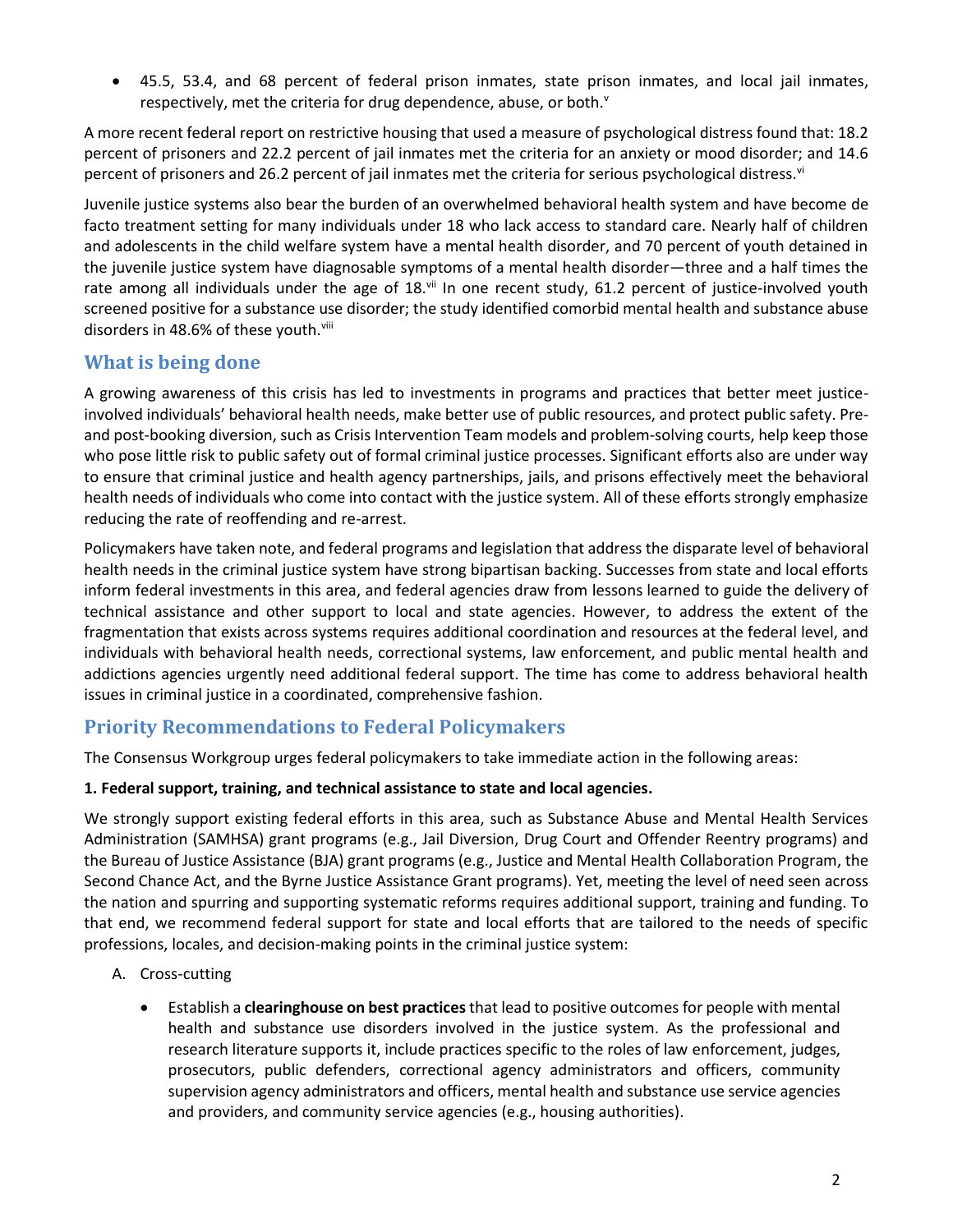45.5, 53.4, and 68 percent of federal prison inmates, state prison inmates, and local jail inmates, respectively, met the criteria for drug dependence, abuse, or both. $v$ 

A more recent federal report on restrictive housing that used a measure of psychological distress found that: 18.2 percent of prisoners and 22.2 percent of jail inmates met the criteria for an anxiety or mood disorder; and 14.6 percent of prisoners and 26.2 percent of jail inmates met the criteria for serious psychological distress.<sup>vi</sup>

Juvenile justice systems also bear the burden of an overwhelmed behavioral health system and have become de facto treatment setting for many individuals under 18 who lack access to standard care. Nearly half of children and adolescents in the child welfare system have a mental health disorder, and 70 percent of youth detained in the juvenile justice system have diagnosable symptoms of a mental health disorder—three and a half times the rate among all individuals under the age of 18.vii In one recent study, 61.2 percent of justice-involved youth screened positive for a substance use disorder; the study identified comorbid mental health and substance abuse disorders in 48.6% of these youth.<sup>viii</sup>

# **What is being done**

A growing awareness of this crisis has led to investments in programs and practices that better meet justiceinvolved individuals' behavioral health needs, make better use of public resources, and protect public safety. Preand post-booking diversion, such as Crisis Intervention Team models and problem-solving courts, help keep those who pose little risk to public safety out of formal criminal justice processes. Significant efforts also are under way to ensure that criminal justice and health agency partnerships, jails, and prisons effectively meet the behavioral health needs of individuals who come into contact with the justice system. All of these efforts strongly emphasize reducing the rate of reoffending and re-arrest.

Policymakers have taken note, and federal programs and legislation that address the disparate level of behavioral health needs in the criminal justice system have strong bipartisan backing. Successes from state and local efforts inform federal investments in this area, and federal agencies draw from lessons learned to guide the delivery of technical assistance and other support to local and state agencies. However, to address the extent of the fragmentation that exists across systems requires additional coordination and resources at the federal level, and individuals with behavioral health needs, correctional systems, law enforcement, and public mental health and addictions agencies urgently need additional federal support. The time has come to address behavioral health issues in criminal justice in a coordinated, comprehensive fashion.

# **Priority Recommendations to Federal Policymakers**

The Consensus Workgroup urges federal policymakers to take immediate action in the following areas:

### **1. Federal support, training, and technical assistance to state and local agencies.**

We strongly support existing federal efforts in this area, such as Substance Abuse and Mental Health Services Administration (SAMHSA) grant programs (e.g., Jail Diversion, Drug Court and Offender Reentry programs) and the Bureau of Justice Assistance (BJA) grant programs (e.g., Justice and Mental Health Collaboration Program, the Second Chance Act, and the Byrne Justice Assistance Grant programs). Yet, meeting the level of need seen across the nation and spurring and supporting systematic reforms requires additional support, training and funding. To that end, we recommend federal support for state and local efforts that are tailored to the needs of specific professions, locales, and decision-making points in the criminal justice system:

- A. Cross-cutting
	- Establish a **clearinghouse on best practices**that lead to positive outcomes for people with mental health and substance use disorders involved in the justice system. As the professional and research literature supports it, include practices specific to the roles of law enforcement, judges, prosecutors, public defenders, correctional agency administrators and officers, community supervision agency administrators and officers, mental health and substance use service agencies and providers, and community service agencies (e.g., housing authorities).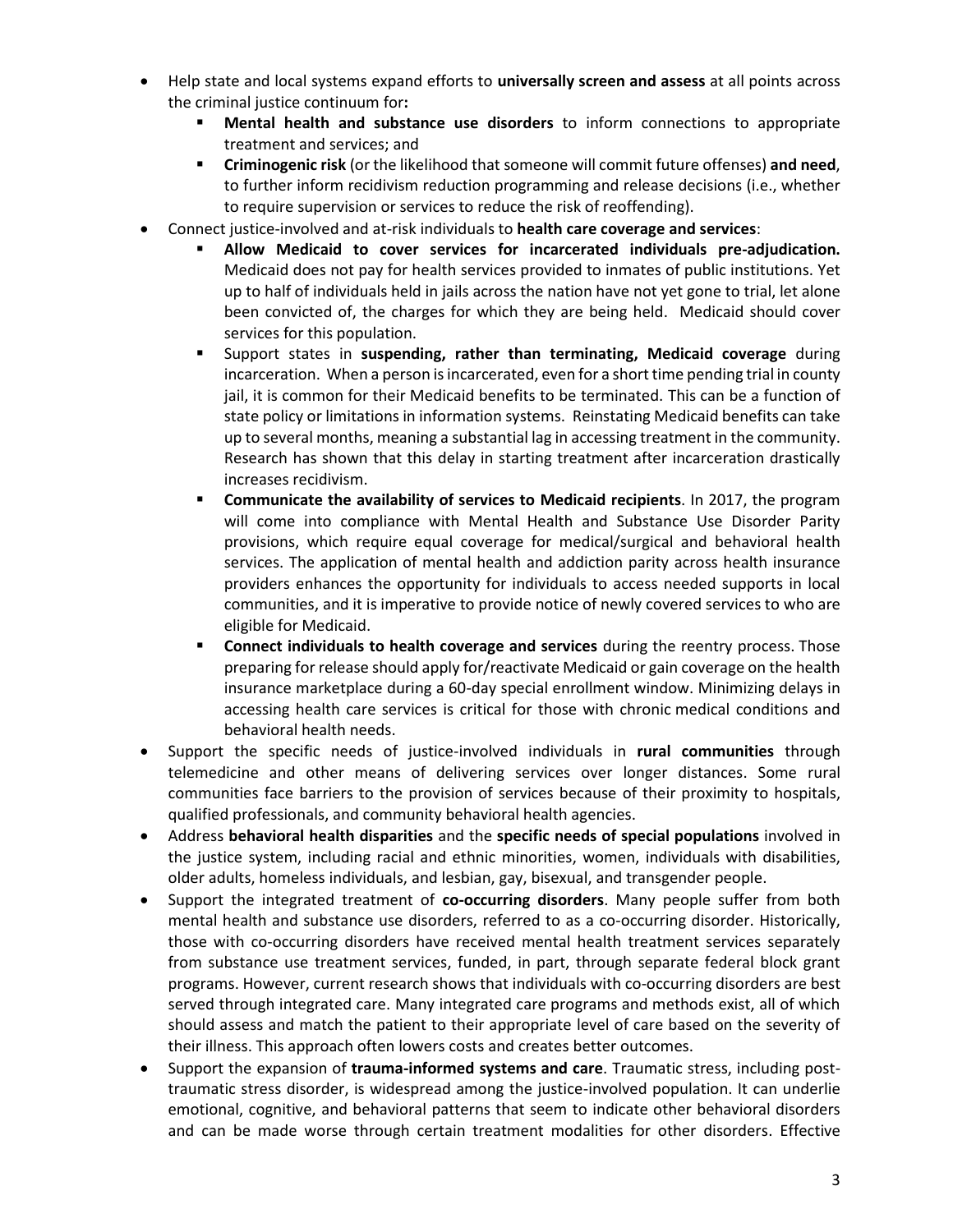- Help state and local systems expand efforts to **universally screen and assess** at all points across the criminal justice continuum for**:**
	- **Mental health and substance use disorders** to inform connections to appropriate treatment and services; and
	- **Criminogenic risk** (or the likelihood that someone will commit future offenses) **and need**, to further inform recidivism reduction programming and release decisions (i.e., whether to require supervision or services to reduce the risk of reoffending).
- Connect justice-involved and at-risk individuals to **health care coverage and services**:
	- **Allow Medicaid to cover services for incarcerated individuals pre-adjudication.**  Medicaid does not pay for health services provided to inmates of public institutions. Yet up to half of individuals held in jails across the nation have not yet gone to trial, let alone been convicted of, the charges for which they are being held. Medicaid should cover services for this population.
	- Support states in **suspending, rather than terminating, Medicaid coverage** during incarceration. When a person is incarcerated, even for a short time pending trial in county jail, it is common for their Medicaid benefits to be terminated. This can be a function of state policy or limitations in information systems. Reinstating Medicaid benefits can take up to several months, meaning a substantial lag in accessing treatment in the community. Research has shown that this delay in starting treatment after incarceration drastically increases recidivism.
	- **Communicate the availability of services to Medicaid recipients**. In 2017, the program will come into compliance with Mental Health and Substance Use Disorder Parity provisions, which require equal coverage for medical/surgical and behavioral health services. The application of mental health and addiction parity across health insurance providers enhances the opportunity for individuals to access needed supports in local communities, and it is imperative to provide notice of newly covered services to who are eligible for Medicaid.
	- **Connect individuals to health coverage and services** during the reentry process. Those preparing for release should apply for/reactivate Medicaid or gain coverage on the health insurance marketplace during a 60-day special enrollment window. Minimizing delays in accessing health care services is critical for those with chronic medical conditions and behavioral health needs.
- Support the specific needs of justice-involved individuals in **rural communities** through telemedicine and other means of delivering services over longer distances. Some rural communities face barriers to the provision of services because of their proximity to hospitals, qualified professionals, and community behavioral health agencies.
- Address **behavioral health disparities** and the **specific needs of special populations** involved in the justice system, including racial and ethnic minorities, women, individuals with disabilities, older adults, homeless individuals, and lesbian, gay, bisexual, and transgender people.
- Support the integrated treatment of **co-occurring disorders**. Many people suffer from both mental health and substance use disorders, referred to as a co-occurring disorder. Historically, those with co-occurring disorders have received mental health treatment services separately from substance use treatment services, funded, in part, through separate federal block grant programs. However, current research shows that individuals with co-occurring disorders are best served through integrated care. Many integrated care programs and methods exist, all of which should assess and match the patient to their appropriate level of care based on the severity of their illness. This approach often lowers costs and creates better outcomes.
- Support the expansion of **trauma-informed systems and care**. Traumatic stress, including posttraumatic stress disorder, is widespread among the justice-involved population. It can underlie emotional, cognitive, and behavioral patterns that seem to indicate other behavioral disorders and can be made worse through certain treatment modalities for other disorders. Effective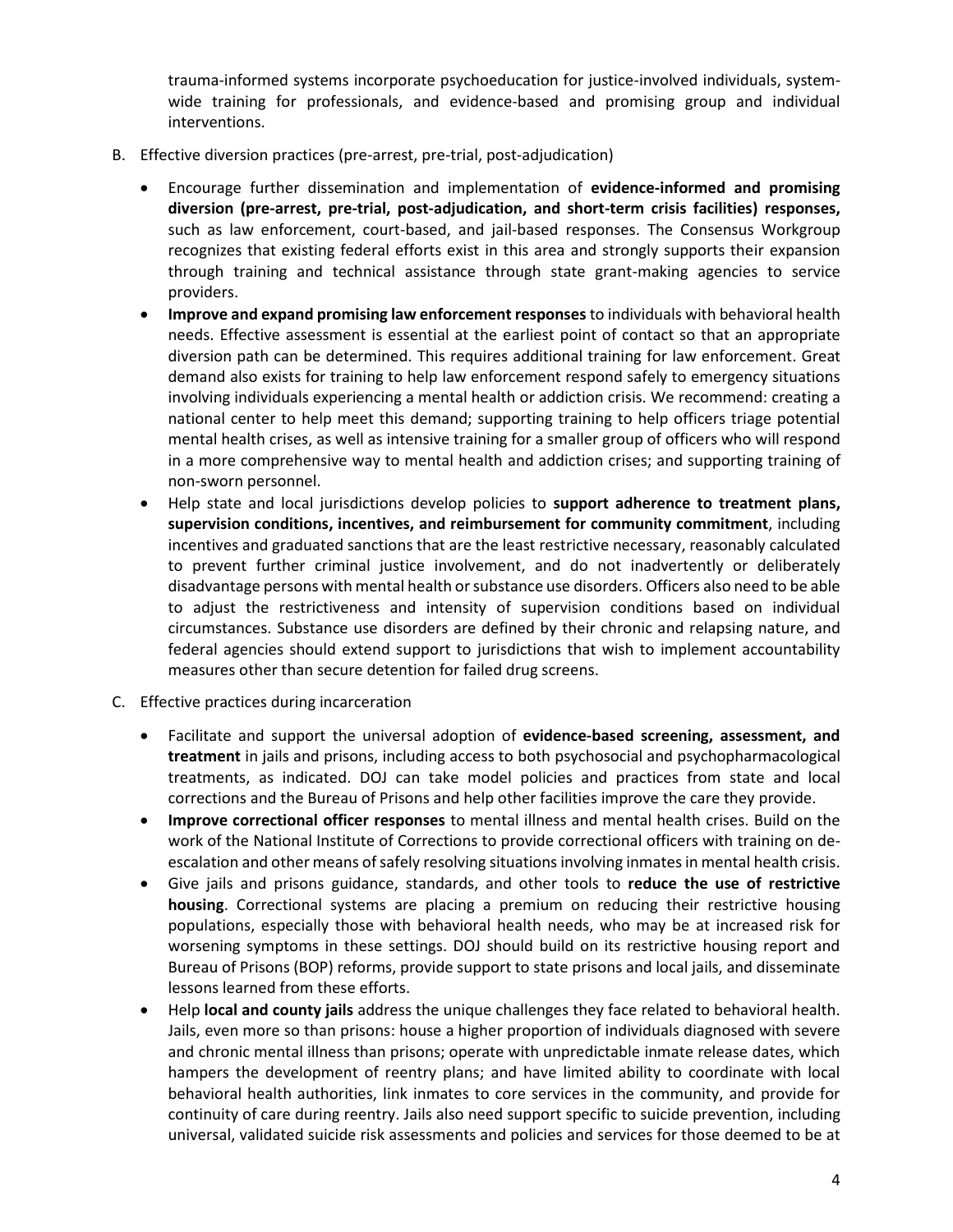trauma-informed systems incorporate psychoeducation for justice-involved individuals, systemwide training for professionals, and evidence-based and promising group and individual interventions.

- B. Effective diversion practices (pre-arrest, pre-trial, post-adjudication)
	- Encourage further dissemination and implementation of **evidence-informed and promising diversion (pre-arrest, pre-trial, post-adjudication, and short-term crisis facilities) responses,**  such as law enforcement, court-based, and jail-based responses. The Consensus Workgroup recognizes that existing federal efforts exist in this area and strongly supports their expansion through training and technical assistance through state grant-making agencies to service providers.
	- **Improve and expand promising law enforcement responses** to individuals with behavioral health needs. Effective assessment is essential at the earliest point of contact so that an appropriate diversion path can be determined. This requires additional training for law enforcement. Great demand also exists for training to help law enforcement respond safely to emergency situations involving individuals experiencing a mental health or addiction crisis. We recommend: creating a national center to help meet this demand; supporting training to help officers triage potential mental health crises, as well as intensive training for a smaller group of officers who will respond in a more comprehensive way to mental health and addiction crises; and supporting training of non-sworn personnel.
	- Help state and local jurisdictions develop policies to **support adherence to treatment plans, supervision conditions, incentives, and reimbursement for community commitment**, including incentives and graduated sanctions that are the least restrictive necessary, reasonably calculated to prevent further criminal justice involvement, and do not inadvertently or deliberately disadvantage persons with mental health or substance use disorders. Officers also need to be able to adjust the restrictiveness and intensity of supervision conditions based on individual circumstances. Substance use disorders are defined by their chronic and relapsing nature, and federal agencies should extend support to jurisdictions that wish to implement accountability measures other than secure detention for failed drug screens.
- C. Effective practices during incarceration
	- Facilitate and support the universal adoption of **evidence-based screening, assessment, and treatment** in jails and prisons, including access to both psychosocial and psychopharmacological treatments, as indicated. DOJ can take model policies and practices from state and local corrections and the Bureau of Prisons and help other facilities improve the care they provide.
	- **Improve correctional officer responses** to mental illness and mental health crises. Build on the work of the National Institute of Corrections to provide correctional officers with training on deescalation and other means of safely resolving situations involving inmates in mental health crisis.
	- Give jails and prisons guidance, standards, and other tools to **reduce the use of restrictive housing**. Correctional systems are placing a premium on reducing their restrictive housing populations, especially those with behavioral health needs, who may be at increased risk for worsening symptoms in these settings. DOJ should build on its restrictive housing report and Bureau of Prisons (BOP) reforms, provide support to state prisons and local jails, and disseminate lessons learned from these efforts.
	- Help **local and county jails** address the unique challenges they face related to behavioral health. Jails, even more so than prisons: house a higher proportion of individuals diagnosed with severe and chronic mental illness than prisons; operate with unpredictable inmate release dates, which hampers the development of reentry plans; and have limited ability to coordinate with local behavioral health authorities, link inmates to core services in the community, and provide for continuity of care during reentry. Jails also need support specific to suicide prevention, including universal, validated suicide risk assessments and policies and services for those deemed to be at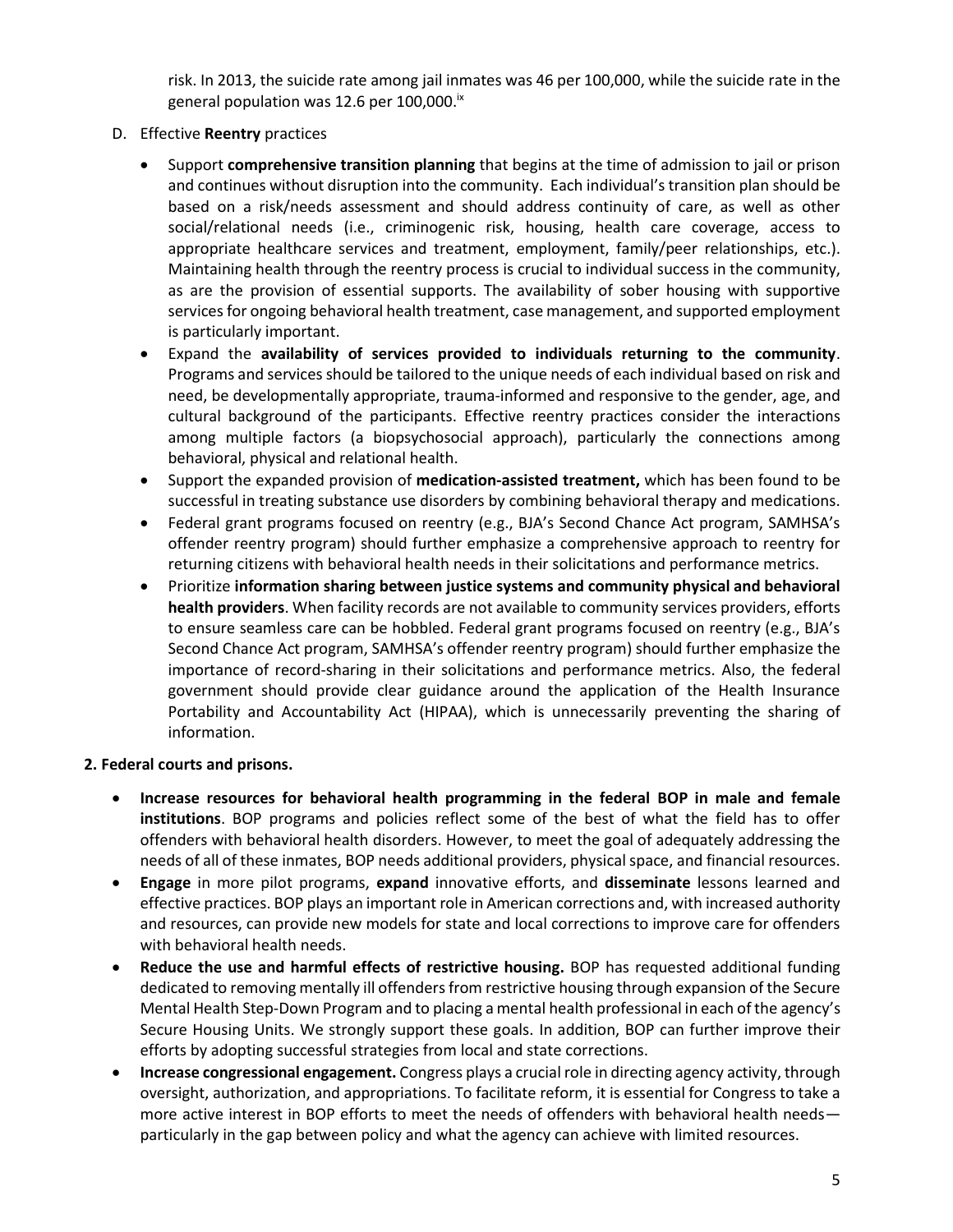risk. In 2013, the suicide rate among jail inmates was 46 per 100,000, while the suicide rate in the general population was 12.6 per 100,000.<sup>ix</sup>

- D. Effective **Reentry** practices
	- Support **comprehensive transition planning** that begins at the time of admission to jail or prison and continues without disruption into the community. Each individual's transition plan should be based on a risk/needs assessment and should address continuity of care, as well as other social/relational needs (i.e., criminogenic risk, housing, health care coverage, access to appropriate healthcare services and treatment, employment, family/peer relationships, etc.). Maintaining health through the reentry process is crucial to individual success in the community, as are the provision of essential supports. The availability of sober housing with supportive services for ongoing behavioral health treatment, case management, and supported employment is particularly important.
	- Expand the **availability of services provided to individuals returning to the community**. Programs and services should be tailored to the unique needs of each individual based on risk and need, be developmentally appropriate, trauma-informed and responsive to the gender, age, and cultural background of the participants. Effective reentry practices consider the interactions among multiple factors (a biopsychosocial approach), particularly the connections among behavioral, physical and relational health.
	- Support the expanded provision of **medication-assisted treatment,** which has been found to be successful in treating substance use disorders by combining behavioral therapy and medications.
	- Federal grant programs focused on reentry (e.g., BJA's Second Chance Act program, SAMHSA's offender reentry program) should further emphasize a comprehensive approach to reentry for returning citizens with behavioral health needs in their solicitations and performance metrics.
	- Prioritize **information sharing between justice systems and community physical and behavioral health providers**. When facility records are not available to community services providers, efforts to ensure seamless care can be hobbled. Federal grant programs focused on reentry (e.g., BJA's Second Chance Act program, SAMHSA's offender reentry program) should further emphasize the importance of record-sharing in their solicitations and performance metrics. Also, the federal government should provide clear guidance around the application of the Health Insurance Portability and Accountability Act (HIPAA), which is unnecessarily preventing the sharing of information.

#### **2. Federal courts and prisons.**

- **Increase resources for behavioral health programming in the federal BOP in male and female institutions**. BOP programs and policies reflect some of the best of what the field has to offer offenders with behavioral health disorders. However, to meet the goal of adequately addressing the needs of all of these inmates, BOP needs additional providers, physical space, and financial resources.
- **Engage** in more pilot programs, **expand** innovative efforts, and **disseminate** lessons learned and effective practices. BOP plays an important role in American corrections and, with increased authority and resources, can provide new models for state and local corrections to improve care for offenders with behavioral health needs.
- **Reduce the use and harmful effects of restrictive housing.** BOP has requested additional funding dedicated to removing mentally ill offenders from restrictive housing through expansion of the Secure Mental Health Step-Down Program and to placing a mental health professional in each of the agency's Secure Housing Units. We strongly support these goals. In addition, BOP can further improve their efforts by adopting successful strategies from local and state corrections.
- **Increase congressional engagement.** Congress plays a crucial role in directing agency activity, through oversight, authorization, and appropriations. To facilitate reform, it is essential for Congress to take a more active interest in BOP efforts to meet the needs of offenders with behavioral health needs particularly in the gap between policy and what the agency can achieve with limited resources.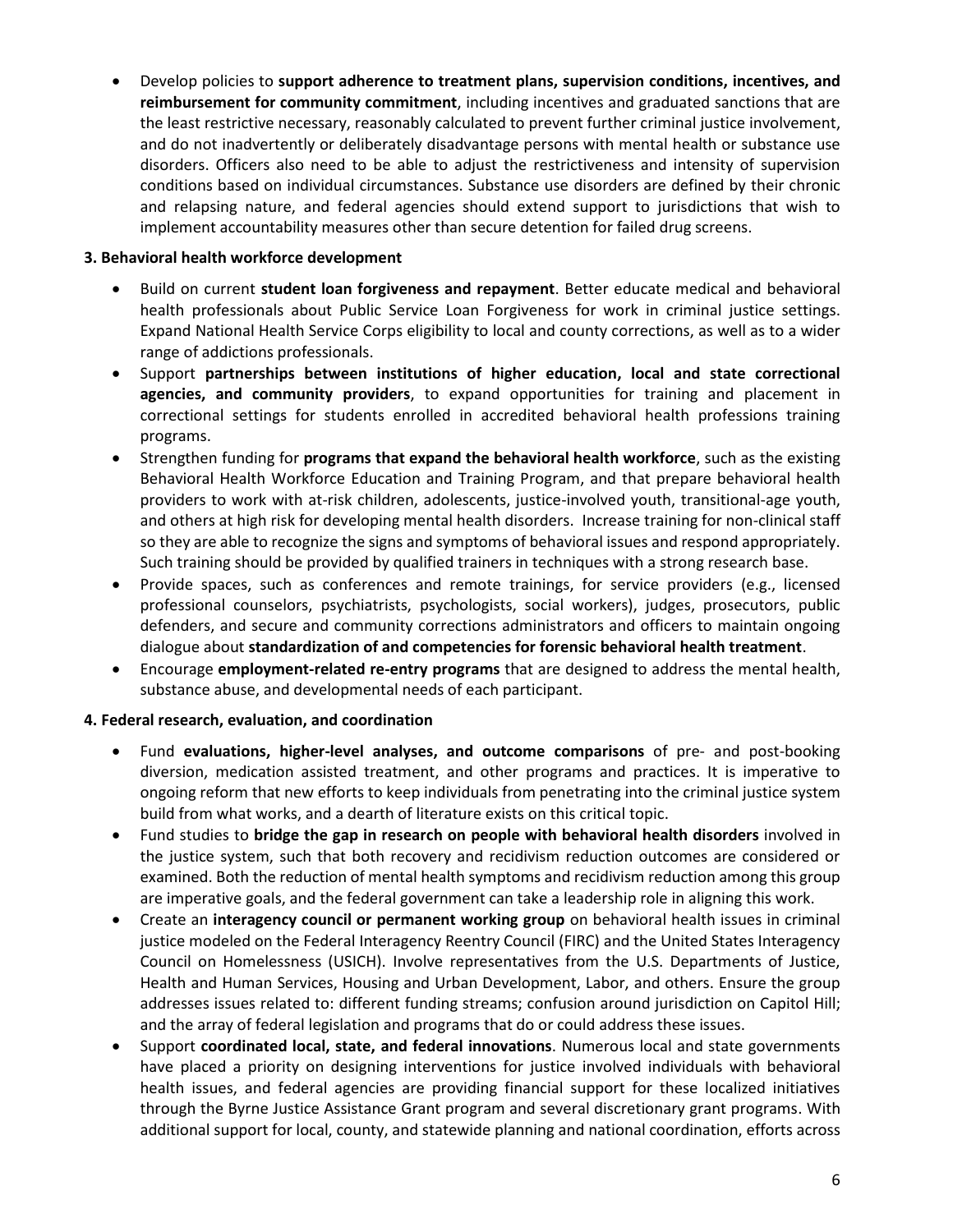Develop policies to **support adherence to treatment plans, supervision conditions, incentives, and reimbursement for community commitment**, including incentives and graduated sanctions that are the least restrictive necessary, reasonably calculated to prevent further criminal justice involvement, and do not inadvertently or deliberately disadvantage persons with mental health or substance use disorders. Officers also need to be able to adjust the restrictiveness and intensity of supervision conditions based on individual circumstances. Substance use disorders are defined by their chronic and relapsing nature, and federal agencies should extend support to jurisdictions that wish to implement accountability measures other than secure detention for failed drug screens.

#### **3. Behavioral health workforce development**

- Build on current **student loan forgiveness and repayment**. Better educate medical and behavioral health professionals about Public Service Loan Forgiveness for work in criminal justice settings. Expand National Health Service Corps eligibility to local and county corrections, as well as to a wider range of addictions professionals.
- Support **partnerships between institutions of higher education, local and state correctional agencies, and community providers**, to expand opportunities for training and placement in correctional settings for students enrolled in accredited behavioral health professions training programs.
- Strengthen funding for **programs that expand the behavioral health workforce**, such as the existing Behavioral Health Workforce Education and Training Program, and that prepare behavioral health providers to work with at-risk children, adolescents, justice-involved youth, transitional-age youth, and others at high risk for developing mental health disorders. Increase training for non-clinical staff so they are able to recognize the signs and symptoms of behavioral issues and respond appropriately. Such training should be provided by qualified trainers in techniques with a strong research base.
- Provide spaces, such as conferences and remote trainings, for service providers (e.g., licensed professional counselors, psychiatrists, psychologists, social workers), judges, prosecutors, public defenders, and secure and community corrections administrators and officers to maintain ongoing dialogue about **standardization of and competencies for forensic behavioral health treatment**.
- Encourage **employment-related re-entry programs** that are designed to address the mental health, substance abuse, and developmental needs of each participant.

#### **4. Federal research, evaluation, and coordination**

- Fund **evaluations, higher-level analyses, and outcome comparisons** of pre- and post-booking diversion, medication assisted treatment, and other programs and practices. It is imperative to ongoing reform that new efforts to keep individuals from penetrating into the criminal justice system build from what works, and a dearth of literature exists on this critical topic.
- Fund studies to **bridge the gap in research on people with behavioral health disorders** involved in the justice system, such that both recovery and recidivism reduction outcomes are considered or examined. Both the reduction of mental health symptoms and recidivism reduction among this group are imperative goals, and the federal government can take a leadership role in aligning this work.
- Create an **interagency council or permanent working group** on behavioral health issues in criminal justice modeled on the Federal Interagency Reentry Council (FIRC) and the United States Interagency Council on Homelessness (USICH). Involve representatives from the U.S. Departments of Justice, Health and Human Services, Housing and Urban Development, Labor, and others. Ensure the group addresses issues related to: different funding streams; confusion around jurisdiction on Capitol Hill; and the array of federal legislation and programs that do or could address these issues.
- Support **coordinated local, state, and federal innovations**. Numerous local and state governments have placed a priority on designing interventions for justice involved individuals with behavioral health issues, and federal agencies are providing financial support for these localized initiatives through the Byrne Justice Assistance Grant program and several discretionary grant programs. With additional support for local, county, and statewide planning and national coordination, efforts across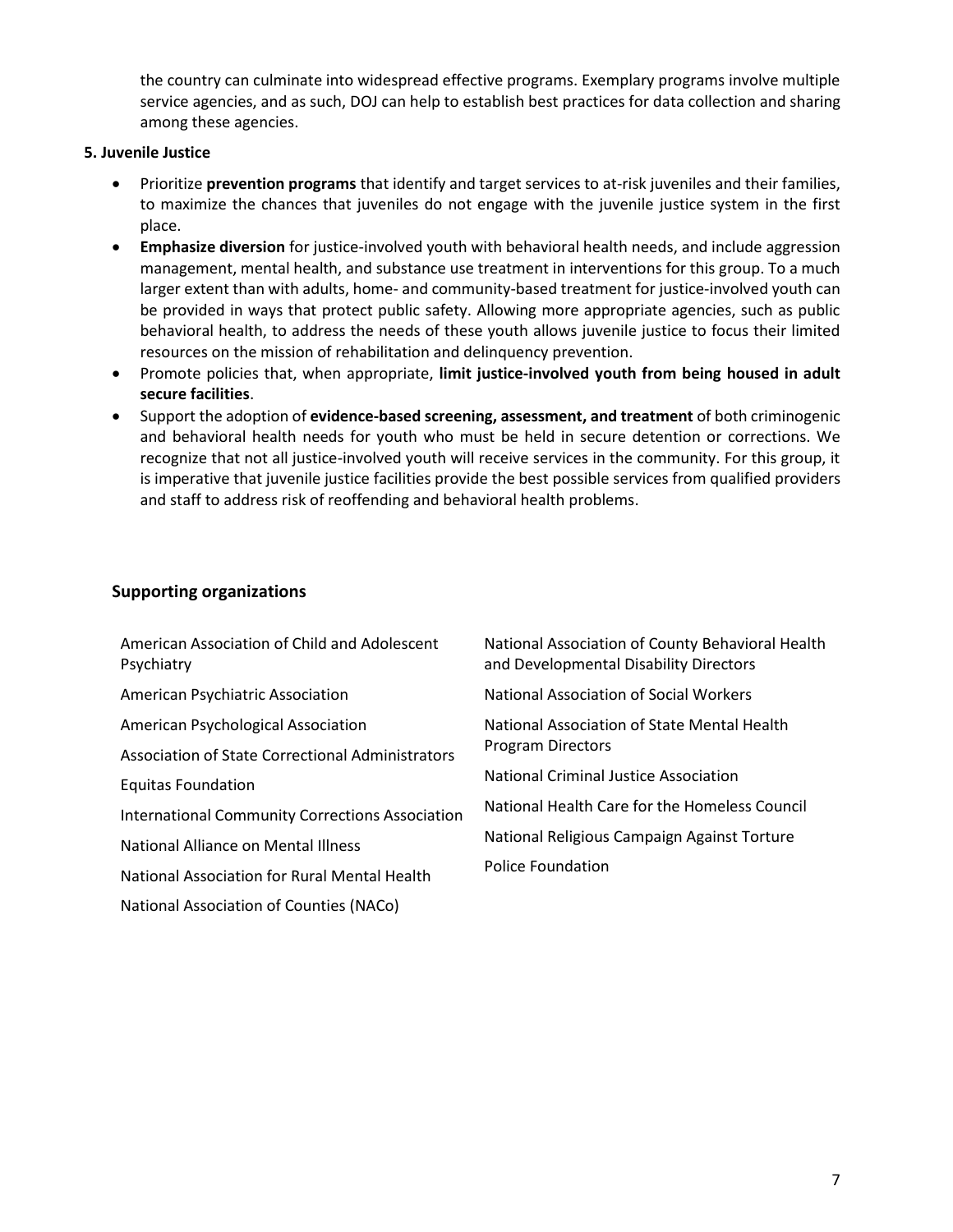the country can culminate into widespread effective programs. Exemplary programs involve multiple service agencies, and as such, DOJ can help to establish best practices for data collection and sharing among these agencies.

#### **5. Juvenile Justice**

- Prioritize **prevention programs** that identify and target services to at-risk juveniles and their families, to maximize the chances that juveniles do not engage with the juvenile justice system in the first place.
- **Emphasize diversion** for justice-involved youth with behavioral health needs, and include aggression management, mental health, and substance use treatment in interventions for this group. To a much larger extent than with adults, home- and community-based treatment for justice-involved youth can be provided in ways that protect public safety. Allowing more appropriate agencies, such as public behavioral health, to address the needs of these youth allows juvenile justice to focus their limited resources on the mission of rehabilitation and delinquency prevention.
- Promote policies that, when appropriate, **limit justice-involved youth from being housed in adult secure facilities**.
- Support the adoption of **evidence-based screening, assessment, and treatment** of both criminogenic and behavioral health needs for youth who must be held in secure detention or corrections. We recognize that not all justice-involved youth will receive services in the community. For this group, it is imperative that juvenile justice facilities provide the best possible services from qualified providers and staff to address risk of reoffending and behavioral health problems.

### **Supporting organizations**

| American Association of Child and Adolescent<br>Psychiatry | National Association of County Behavioral Health<br>and Developmental Disability Directors |
|------------------------------------------------------------|--------------------------------------------------------------------------------------------|
| <b>American Psychiatric Association</b>                    | National Association of Social Workers                                                     |
| American Psychological Association                         | National Association of State Mental Health                                                |
| Association of State Correctional Administrators           | <b>Program Directors</b>                                                                   |
| <b>Equitas Foundation</b>                                  | National Criminal Justice Association                                                      |
| <b>International Community Corrections Association</b>     | National Health Care for the Homeless Council                                              |
| National Alliance on Mental Illness                        | National Religious Campaign Against Torture                                                |
| National Association for Rural Mental Health               | <b>Police Foundation</b>                                                                   |

National Association of Counties (NACo)